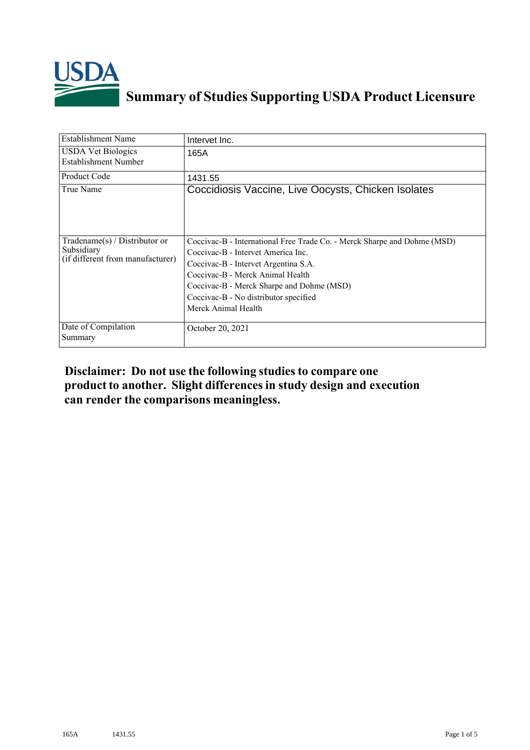

## **Summary of Studies Supporting USDA Product Licensure**

| <b>Establishment Name</b>                                                          | Intervet Inc.                                                                                                                                                                                                                                                                                           |
|------------------------------------------------------------------------------------|---------------------------------------------------------------------------------------------------------------------------------------------------------------------------------------------------------------------------------------------------------------------------------------------------------|
| <b>USDA Vet Biologics</b><br>Establishment Number                                  | 165A                                                                                                                                                                                                                                                                                                    |
| <b>Product Code</b>                                                                | 1431.55                                                                                                                                                                                                                                                                                                 |
| True Name                                                                          | Coccidiosis Vaccine, Live Oocysts, Chicken Isolates                                                                                                                                                                                                                                                     |
| Tradename $(s)$ / Distributor or<br>Subsidiary<br>(if different from manufacturer) | Coccivac-B - International Free Trade Co. - Merck Sharpe and Dohme (MSD)<br>Coccivac-B - Intervet America Inc.<br>Coccivac-B - Intervet Argentina S.A.<br>Coccivac-B - Merck Animal Health<br>Coccivac-B - Merck Sharpe and Dohme (MSD)<br>Coccivac-B - No distributor specified<br>Merck Animal Health |
| Date of Compilation<br>Summary                                                     | October 20, 2021                                                                                                                                                                                                                                                                                        |

## **Disclaimer: Do not use the following studiesto compare one product to another. Slight differencesin study design and execution can render the comparisons meaningless.**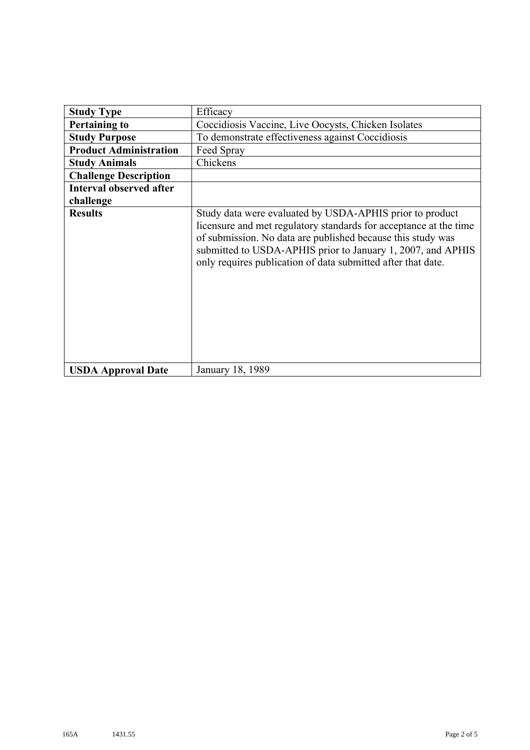| <b>Study Type</b>              | Efficacy                                                                                                                                                                                                                                                                                                                    |
|--------------------------------|-----------------------------------------------------------------------------------------------------------------------------------------------------------------------------------------------------------------------------------------------------------------------------------------------------------------------------|
| <b>Pertaining to</b>           | Coccidiosis Vaccine, Live Oocysts, Chicken Isolates                                                                                                                                                                                                                                                                         |
| <b>Study Purpose</b>           | To demonstrate effectiveness against Coccidiosis                                                                                                                                                                                                                                                                            |
| <b>Product Administration</b>  | Feed Spray                                                                                                                                                                                                                                                                                                                  |
| <b>Study Animals</b>           | Chickens                                                                                                                                                                                                                                                                                                                    |
| <b>Challenge Description</b>   |                                                                                                                                                                                                                                                                                                                             |
| <b>Interval observed after</b> |                                                                                                                                                                                                                                                                                                                             |
| challenge                      |                                                                                                                                                                                                                                                                                                                             |
| <b>Results</b>                 | Study data were evaluated by USDA-APHIS prior to product<br>licensure and met regulatory standards for acceptance at the time<br>of submission. No data are published because this study was<br>submitted to USDA-APHIS prior to January 1, 2007, and APHIS<br>only requires publication of data submitted after that date. |
| <b>USDA Approval Date</b>      | January 18, 1989                                                                                                                                                                                                                                                                                                            |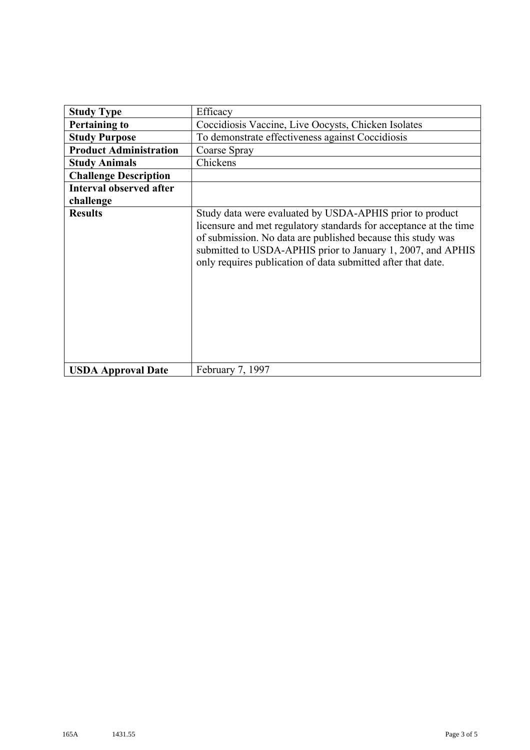| <b>Study Type</b>              | Efficacy                                                                                                                                                                                                                                                                                                                    |
|--------------------------------|-----------------------------------------------------------------------------------------------------------------------------------------------------------------------------------------------------------------------------------------------------------------------------------------------------------------------------|
| <b>Pertaining to</b>           | Coccidiosis Vaccine, Live Oocysts, Chicken Isolates                                                                                                                                                                                                                                                                         |
| <b>Study Purpose</b>           | To demonstrate effectiveness against Coccidiosis                                                                                                                                                                                                                                                                            |
| <b>Product Administration</b>  | Coarse Spray                                                                                                                                                                                                                                                                                                                |
| <b>Study Animals</b>           | Chickens                                                                                                                                                                                                                                                                                                                    |
| <b>Challenge Description</b>   |                                                                                                                                                                                                                                                                                                                             |
| <b>Interval observed after</b> |                                                                                                                                                                                                                                                                                                                             |
| challenge                      |                                                                                                                                                                                                                                                                                                                             |
| <b>Results</b>                 | Study data were evaluated by USDA-APHIS prior to product<br>licensure and met regulatory standards for acceptance at the time<br>of submission. No data are published because this study was<br>submitted to USDA-APHIS prior to January 1, 2007, and APHIS<br>only requires publication of data submitted after that date. |
| <b>USDA Approval Date</b>      | February 7, 1997                                                                                                                                                                                                                                                                                                            |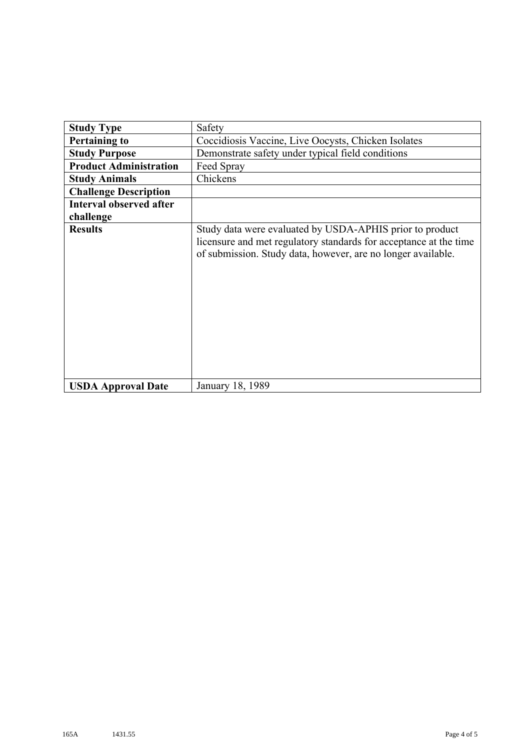| <b>Study Type</b>              | Safety                                                                                                                                                                                        |
|--------------------------------|-----------------------------------------------------------------------------------------------------------------------------------------------------------------------------------------------|
| <b>Pertaining to</b>           | Coccidiosis Vaccine, Live Oocysts, Chicken Isolates                                                                                                                                           |
| <b>Study Purpose</b>           | Demonstrate safety under typical field conditions                                                                                                                                             |
| <b>Product Administration</b>  | Feed Spray                                                                                                                                                                                    |
| <b>Study Animals</b>           | Chickens                                                                                                                                                                                      |
| <b>Challenge Description</b>   |                                                                                                                                                                                               |
| <b>Interval observed after</b> |                                                                                                                                                                                               |
| challenge                      |                                                                                                                                                                                               |
| <b>Results</b>                 | Study data were evaluated by USDA-APHIS prior to product<br>licensure and met regulatory standards for acceptance at the time<br>of submission. Study data, however, are no longer available. |
| <b>USDA Approval Date</b>      | January 18, 1989                                                                                                                                                                              |